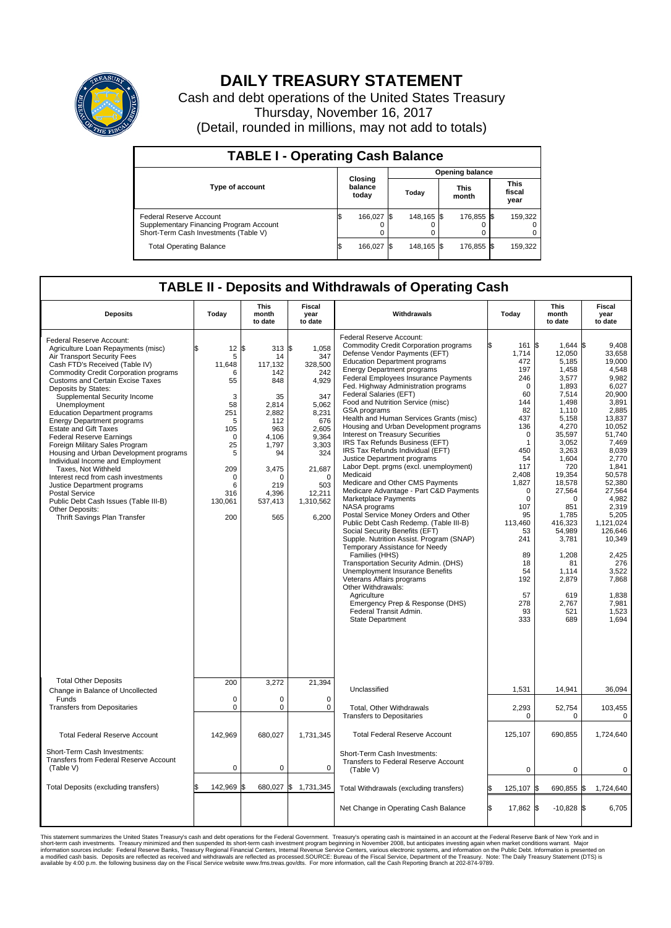

## **DAILY TREASURY STATEMENT**

Cash and debt operations of the United States Treasury Thursday, November 16, 2017 (Detail, rounded in millions, may not add to totals)

| <b>TABLE I - Operating Cash Balance</b>                                                                     |     |                             |  |                        |  |                      |  |                               |  |  |  |
|-------------------------------------------------------------------------------------------------------------|-----|-----------------------------|--|------------------------|--|----------------------|--|-------------------------------|--|--|--|
|                                                                                                             |     | Closing<br>balance<br>today |  | <b>Opening balance</b> |  |                      |  |                               |  |  |  |
| <b>Type of account</b>                                                                                      |     |                             |  | Today                  |  | <b>This</b><br>month |  | <b>This</b><br>fiscal<br>year |  |  |  |
| Federal Reserve Account<br>Supplementary Financing Program Account<br>Short-Term Cash Investments (Table V) |     | 166,027                     |  | 148.165 \$             |  | 176.855 \$           |  | 159,322                       |  |  |  |
| <b>Total Operating Balance</b>                                                                              | I\$ | 166,027                     |  | 148,165 \$             |  | 176,855 \$           |  | 159,322                       |  |  |  |

## **TABLE II - Deposits and Withdrawals of Operating Cash**

| <b>Deposits</b>                                                                                                                                                                                                                                                                                                                                                                                                                                                                                                                                                                                                                                                                                                                                                              | Today                                                                                                                                          | This<br>month<br>to date                                                                                                                                        | Fiscal<br>year<br>to date                                                                                                                                              | Withdrawals                                                                                                                                                                                                                                                                                                                                                                                                                                                                                                                                                                                                                                                                                                                                                                                                                                                                                                                                                                                                                                                                                                                                                                                                                     | Today                                                                                                                                                                                     | <b>This</b><br>month<br>to date                                                                                                                                                                                                                                                                                                                                        | Fiscal<br>year<br>to date                                                                                                                                                                                                                                                                                           |
|------------------------------------------------------------------------------------------------------------------------------------------------------------------------------------------------------------------------------------------------------------------------------------------------------------------------------------------------------------------------------------------------------------------------------------------------------------------------------------------------------------------------------------------------------------------------------------------------------------------------------------------------------------------------------------------------------------------------------------------------------------------------------|------------------------------------------------------------------------------------------------------------------------------------------------|-----------------------------------------------------------------------------------------------------------------------------------------------------------------|------------------------------------------------------------------------------------------------------------------------------------------------------------------------|---------------------------------------------------------------------------------------------------------------------------------------------------------------------------------------------------------------------------------------------------------------------------------------------------------------------------------------------------------------------------------------------------------------------------------------------------------------------------------------------------------------------------------------------------------------------------------------------------------------------------------------------------------------------------------------------------------------------------------------------------------------------------------------------------------------------------------------------------------------------------------------------------------------------------------------------------------------------------------------------------------------------------------------------------------------------------------------------------------------------------------------------------------------------------------------------------------------------------------|-------------------------------------------------------------------------------------------------------------------------------------------------------------------------------------------|------------------------------------------------------------------------------------------------------------------------------------------------------------------------------------------------------------------------------------------------------------------------------------------------------------------------------------------------------------------------|---------------------------------------------------------------------------------------------------------------------------------------------------------------------------------------------------------------------------------------------------------------------------------------------------------------------|
| Federal Reserve Account:<br>Agriculture Loan Repayments (misc)<br>Air Transport Security Fees<br>Cash FTD's Received (Table IV)<br>Commodity Credit Corporation programs<br><b>Customs and Certain Excise Taxes</b><br>Deposits by States:<br>Supplemental Security Income<br>Unemployment<br><b>Education Department programs</b><br><b>Energy Department programs</b><br><b>Estate and Gift Taxes</b><br><b>Federal Reserve Earnings</b><br>Foreign Military Sales Program<br>Housing and Urban Development programs<br>Individual Income and Employment<br>Taxes, Not Withheld<br>Interest recd from cash investments<br>Justice Department programs<br><b>Postal Service</b><br>Public Debt Cash Issues (Table III-B)<br>Other Deposits:<br>Thrift Savings Plan Transfer | 12<br>\$<br>5<br>11,648<br>6<br>55<br>3<br>58<br>251<br>5<br>105<br>$\mathbf 0$<br>25<br>5<br>209<br>$\mathbf 0$<br>6<br>316<br>130,061<br>200 | 313S<br>l\$<br>14<br>117,132<br>142<br>848<br>35<br>2,814<br>2,882<br>112<br>963<br>4,106<br>1.797<br>94<br>3,475<br>$\Omega$<br>219<br>4,396<br>537,413<br>565 | 1,058<br>347<br>328,500<br>242<br>4,929<br>347<br>5,062<br>8,231<br>676<br>2,605<br>9,364<br>3,303<br>324<br>21,687<br>$\Omega$<br>503<br>12,211<br>1,310,562<br>6,200 | Federal Reserve Account:<br><b>Commodity Credit Corporation programs</b><br>Defense Vendor Payments (EFT)<br><b>Education Department programs</b><br><b>Energy Department programs</b><br><b>Federal Employees Insurance Payments</b><br>Fed. Highway Administration programs<br>Federal Salaries (EFT)<br>Food and Nutrition Service (misc)<br>GSA programs<br>Health and Human Services Grants (misc)<br>Housing and Urban Development programs<br>Interest on Treasury Securities<br>IRS Tax Refunds Business (EFT)<br>IRS Tax Refunds Individual (EFT)<br>Justice Department programs<br>Labor Dept. prgms (excl. unemployment)<br>Medicaid<br>Medicare and Other CMS Payments<br>Medicare Advantage - Part C&D Payments<br>Marketplace Payments<br>NASA programs<br>Postal Service Money Orders and Other<br>Public Debt Cash Redemp. (Table III-B)<br>Social Security Benefits (EFT)<br>Supple. Nutrition Assist. Program (SNAP)<br>Temporary Assistance for Needy<br>Families (HHS)<br>Transportation Security Admin. (DHS)<br>Unemployment Insurance Benefits<br>Veterans Affairs programs<br>Other Withdrawals:<br>Agriculture<br>Emergency Prep & Response (DHS)<br>Federal Transit Admin.<br><b>State Department</b> | 1,714<br>472<br>197<br>246<br>60<br>144<br>82<br>437<br>136<br>450<br>54<br>117<br>2,408<br>1,827<br>107<br>95<br>113.460<br>53<br>241<br>89<br>18<br>54<br>192<br>57<br>278<br>93<br>333 | $1,644$ \$<br>161 \$<br>12,050<br>5,185<br>1,458<br>3,577<br>$\mathbf 0$<br>1,893<br>7,514<br>1,498<br>1,110<br>5,158<br>4,270<br>0<br>35,597<br>3,052<br>1<br>3,263<br>1.604<br>720<br>19,354<br>18,578<br>$\mathbf 0$<br>27,564<br>$\Omega$<br>$\Omega$<br>851<br>1,785<br>416.323<br>54,989<br>3,781<br>1,208<br>81<br>1,114<br>2,879<br>619<br>2,767<br>521<br>689 | 9,408<br>33,658<br>19.000<br>4,548<br>9,982<br>6,027<br>20.900<br>3,891<br>2,885<br>13,837<br>10.052<br>51,740<br>7,469<br>8.039<br>2,770<br>1.841<br>50,578<br>52,380<br>27.564<br>4,982<br>2.319<br>5,205<br>1.121.024<br>126.646<br>10,349<br>2,425<br>276<br>3,522<br>7,868<br>1.838<br>7,981<br>1,523<br>1.694 |
| <b>Total Other Deposits</b>                                                                                                                                                                                                                                                                                                                                                                                                                                                                                                                                                                                                                                                                                                                                                  | 200                                                                                                                                            | 3,272                                                                                                                                                           | 21,394                                                                                                                                                                 | Unclassified                                                                                                                                                                                                                                                                                                                                                                                                                                                                                                                                                                                                                                                                                                                                                                                                                                                                                                                                                                                                                                                                                                                                                                                                                    | 1,531                                                                                                                                                                                     | 14,941                                                                                                                                                                                                                                                                                                                                                                 | 36,094                                                                                                                                                                                                                                                                                                              |
| Change in Balance of Uncollected<br>Funds<br><b>Transfers from Depositaries</b>                                                                                                                                                                                                                                                                                                                                                                                                                                                                                                                                                                                                                                                                                              | $\mathbf 0$<br>$\pmb{0}$                                                                                                                       | $\Omega$<br>0                                                                                                                                                   | $\Omega$<br>0                                                                                                                                                          | Total, Other Withdrawals                                                                                                                                                                                                                                                                                                                                                                                                                                                                                                                                                                                                                                                                                                                                                                                                                                                                                                                                                                                                                                                                                                                                                                                                        | 2,293                                                                                                                                                                                     | 52,754                                                                                                                                                                                                                                                                                                                                                                 | 103,455                                                                                                                                                                                                                                                                                                             |
|                                                                                                                                                                                                                                                                                                                                                                                                                                                                                                                                                                                                                                                                                                                                                                              |                                                                                                                                                |                                                                                                                                                                 |                                                                                                                                                                        | <b>Transfers to Depositaries</b>                                                                                                                                                                                                                                                                                                                                                                                                                                                                                                                                                                                                                                                                                                                                                                                                                                                                                                                                                                                                                                                                                                                                                                                                |                                                                                                                                                                                           | $\mathbf 0$<br>$\Omega$                                                                                                                                                                                                                                                                                                                                                | 0                                                                                                                                                                                                                                                                                                                   |
| <b>Total Federal Reserve Account</b>                                                                                                                                                                                                                                                                                                                                                                                                                                                                                                                                                                                                                                                                                                                                         | 142,969                                                                                                                                        | 680,027                                                                                                                                                         | 1,731,345                                                                                                                                                              | <b>Total Federal Reserve Account</b>                                                                                                                                                                                                                                                                                                                                                                                                                                                                                                                                                                                                                                                                                                                                                                                                                                                                                                                                                                                                                                                                                                                                                                                            | 125,107                                                                                                                                                                                   | 690,855                                                                                                                                                                                                                                                                                                                                                                | 1,724,640                                                                                                                                                                                                                                                                                                           |
| Short-Term Cash Investments:<br>Transfers from Federal Reserve Account<br>(Table V)                                                                                                                                                                                                                                                                                                                                                                                                                                                                                                                                                                                                                                                                                          | $\pmb{0}$                                                                                                                                      | 0                                                                                                                                                               | $\mathbf 0$                                                                                                                                                            | Short-Term Cash Investments:<br>Transfers to Federal Reserve Account<br>(Table V)                                                                                                                                                                                                                                                                                                                                                                                                                                                                                                                                                                                                                                                                                                                                                                                                                                                                                                                                                                                                                                                                                                                                               |                                                                                                                                                                                           | $\mathbf 0$<br>$\mathbf 0$                                                                                                                                                                                                                                                                                                                                             | 0                                                                                                                                                                                                                                                                                                                   |
| Total Deposits (excluding transfers)                                                                                                                                                                                                                                                                                                                                                                                                                                                                                                                                                                                                                                                                                                                                         | \$<br>142,969                                                                                                                                  | ß.                                                                                                                                                              | 680,027 \$ 1,731,345                                                                                                                                                   | Total Withdrawals (excluding transfers)                                                                                                                                                                                                                                                                                                                                                                                                                                                                                                                                                                                                                                                                                                                                                                                                                                                                                                                                                                                                                                                                                                                                                                                         | 125,107 \$                                                                                                                                                                                | 690,855 \$                                                                                                                                                                                                                                                                                                                                                             | 1,724,640                                                                                                                                                                                                                                                                                                           |
|                                                                                                                                                                                                                                                                                                                                                                                                                                                                                                                                                                                                                                                                                                                                                                              |                                                                                                                                                |                                                                                                                                                                 |                                                                                                                                                                        | Net Change in Operating Cash Balance                                                                                                                                                                                                                                                                                                                                                                                                                                                                                                                                                                                                                                                                                                                                                                                                                                                                                                                                                                                                                                                                                                                                                                                            | \$.<br>17,862 \$                                                                                                                                                                          | $-10,828$ \$                                                                                                                                                                                                                                                                                                                                                           | 6,705                                                                                                                                                                                                                                                                                                               |

This statement summarizes the United States Treasury's cash and debt operations for the Federal Government. Treasury soperating in November 2008, but anticiarde in a cocount at the Federal Reserve Bank of New York and in<br>s